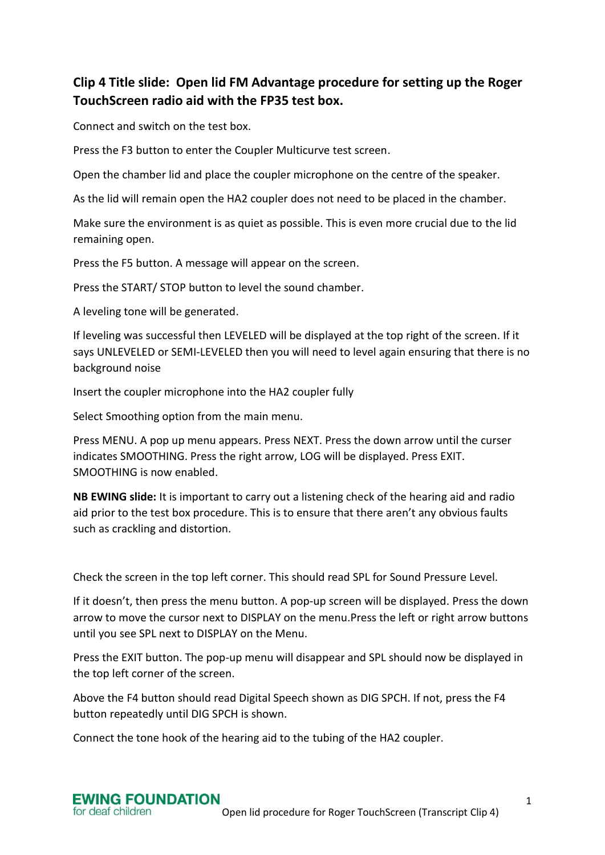## **Clip 4 Title slide: Open lid FM Advantage procedure for setting up the Roger TouchScreen radio aid with the FP35 test box.**

Connect and switch on the test box.

Press the F3 button to enter the Coupler Multicurve test screen.

Open the chamber lid and place the coupler microphone on the centre of the speaker.

As the lid will remain open the HA2 coupler does not need to be placed in the chamber.

Make sure the environment is as quiet as possible. This is even more crucial due to the lid remaining open.

Press the F5 button. A message will appear on the screen.

Press the START/ STOP button to level the sound chamber.

A leveling tone will be generated.

If leveling was successful then LEVELED will be displayed at the top right of the screen. If it says UNLEVELED or SEMI-LEVELED then you will need to level again ensuring that there is no background noise

Insert the coupler microphone into the HA2 coupler fully

Select Smoothing option from the main menu.

Press MENU. A pop up menu appears. Press NEXT. Press the down arrow until the curser indicates SMOOTHING. Press the right arrow, LOG will be displayed. Press EXIT. SMOOTHING is now enabled.

**NB EWING slide:** It is important to carry out a listening check of the hearing aid and radio aid prior to the test box procedure. This is to ensure that there aren't any obvious faults such as crackling and distortion.

Check the screen in the top left corner. This should read SPL for Sound Pressure Level.

If it doesn't, then press the menu button. A pop-up screen will be displayed. Press the down arrow to move the cursor next to DISPLAY on the menu.Press the left or right arrow buttons until you see SPL next to DISPLAY on the Menu.

Press the EXIT button. The pop-up menu will disappear and SPL should now be displayed in the top left corner of the screen.

Above the F4 button should read Digital Speech shown as DIG SPCH. If not, press the F4 button repeatedly until DIG SPCH is shown.

Connect the tone hook of the hearing aid to the tubing of the HA2 coupler.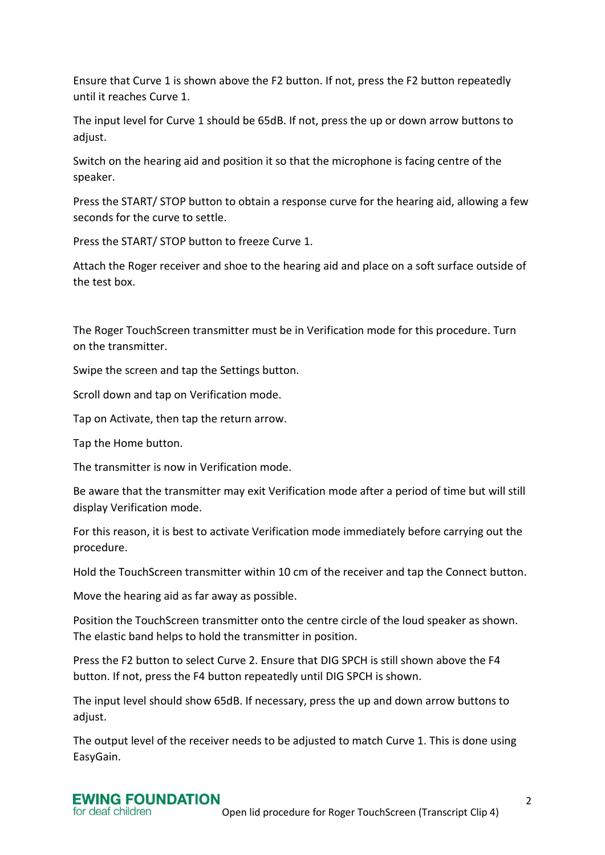Ensure that Curve 1 is shown above the F2 button. If not, press the F2 button repeatedly until it reaches Curve 1.

The input level for Curve 1 should be 65dB. If not, press the up or down arrow buttons to adjust.

Switch on the hearing aid and position it so that the microphone is facing centre of the speaker.

Press the START/ STOP button to obtain a response curve for the hearing aid, allowing a few seconds for the curve to settle.

Press the START/ STOP button to freeze Curve 1.

Attach the Roger receiver and shoe to the hearing aid and place on a soft surface outside of the test box.

The Roger TouchScreen transmitter must be in Verification mode for this procedure. Turn on the transmitter.

Swipe the screen and tap the Settings button.

Scroll down and tap on Verification mode.

Tap on Activate, then tap the return arrow.

Tap the Home button.

The transmitter is now in Verification mode.

Be aware that the transmitter may exit Verification mode after a period of time but will still display Verification mode.

For this reason, it is best to activate Verification mode immediately before carrying out the procedure.

Hold the TouchScreen transmitter within 10 cm of the receiver and tap the Connect button.

Move the hearing aid as far away as possible.

Position the TouchScreen transmitter onto the centre circle of the loud speaker as shown. The elastic band helps to hold the transmitter in position.

Press the F2 button to select Curve 2. Ensure that DIG SPCH is still shown above the F4 button. If not, press the F4 button repeatedly until DIG SPCH is shown.

The input level should show 65dB. If necessary, press the up and down arrow buttons to adjust.

The output level of the receiver needs to be adjusted to match Curve 1. This is done using EasyGain.

## **EWING FOUNDATION** for deaf children